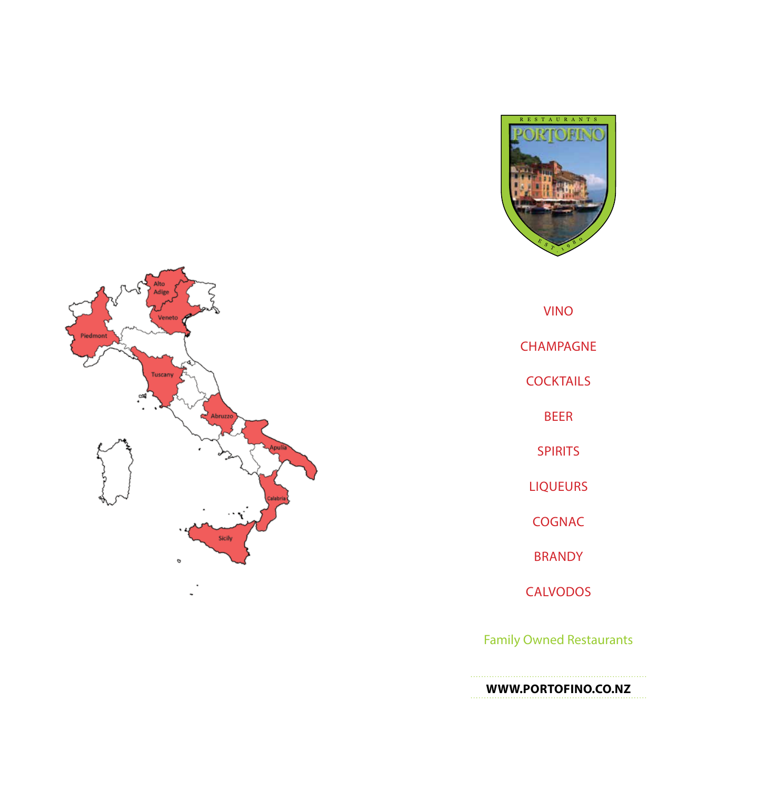



VINO

CHAMPAGNE

**COCKTAILS** 

BEER

SPIRITS

LIQUEURS

COGNAC

BRANDY

CALVODOS

Family Owned Restaurants

**WWW.PORTOFINO.CO.NZ**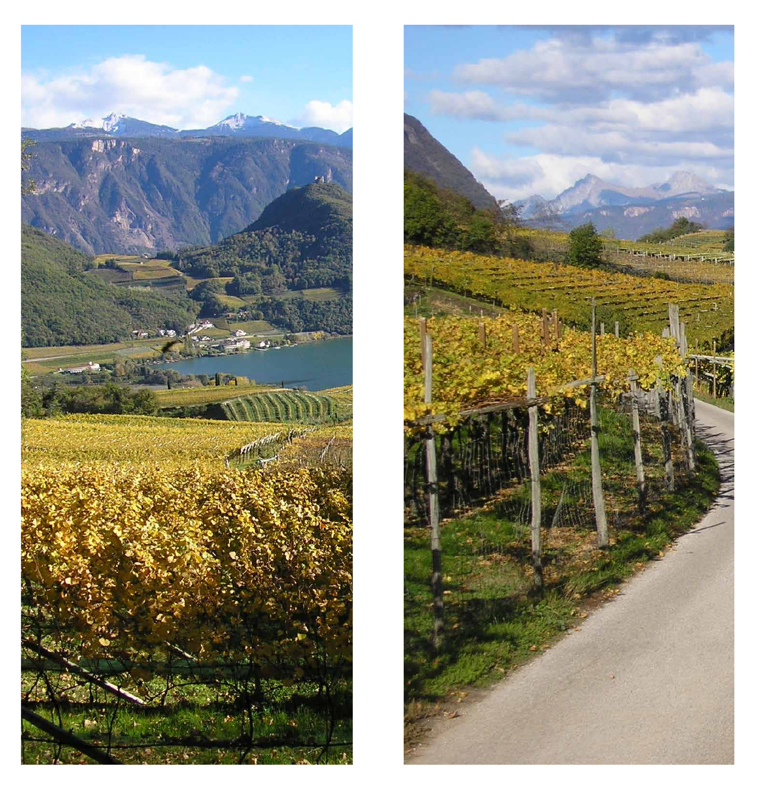

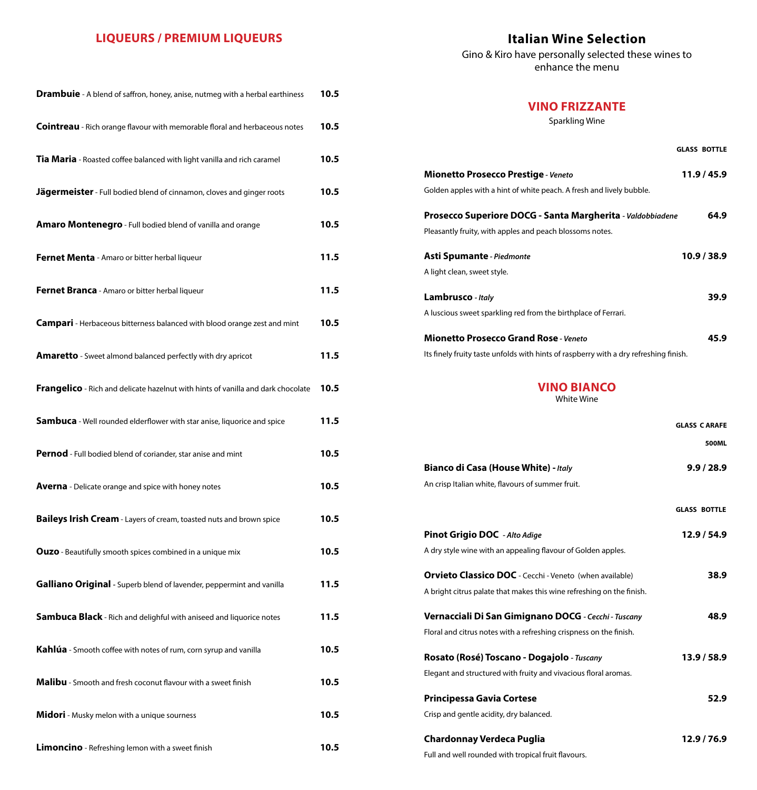### **LIQUEURS / PREMIUM LIQUEURS**

| <b>Drambuie</b> - A blend of saffron, honey, anise, nutmeg with a herbal earthiness | 10.5 |
|-------------------------------------------------------------------------------------|------|
| Cointreau - Rich orange flavour with memorable floral and herbaceous notes          | 10.5 |
| Tia Maria - Roasted coffee balanced with light vanilla and rich caramel             | 10.5 |
| Jägermeister - Full bodied blend of cinnamon, cloves and ginger roots               | 10.5 |
| Amaro Montenegro - Full bodied blend of vanilla and orange                          | 10.5 |
| Fernet Menta - Amaro or bitter herbal liqueur                                       | 11.5 |
| Fernet Branca - Amaro or bitter herbal liqueur                                      | 11.5 |
| <b>Campari</b> - Herbaceous bitterness balanced with blood orange zest and mint     | 10.5 |
| <b>Amaretto</b> - Sweet almond balanced perfectly with dry apricot                  | 11.5 |
| Frangelico - Rich and delicate hazelnut with hints of vanilla and dark chocolate    | 10.5 |
| Sambuca - Well rounded elderflower with star anise, liquorice and spice             | 11.5 |
| Pernod - Full bodied blend of coriander, star anise and mint                        | 10.5 |
| <b>Averna</b> - Delicate orange and spice with honey notes                          | 10.5 |
| Baileys Irish Cream - Layers of cream, toasted nuts and brown spice                 | 10.5 |
| <b>Ouzo</b> - Beautifully smooth spices combined in a unique mix                    | 10.5 |
| Galliano Original - Superb blend of lavender, peppermint and vanilla                | 11.5 |
| <b>Sambuca Black</b> - Rich and delighful with aniseed and liquorice notes          | 11.5 |
| Kahlúa - Smooth coffee with notes of rum, corn syrup and vanilla                    | 10.5 |
| <b>Malibu</b> - Smooth and fresh coconut flavour with a sweet finish                | 10.5 |
| <b>Midori</b> - Musky melon with a unique sourness                                  | 10.5 |
| <b>Limoncino</b> - Refreshing lemon with a sweet finish                             | 10.5 |

**Italian Wine Selection**

Gino & Kiro have personally selected these wines to enhance the menu

## **VINO FRIZZANTE**

#### Sparkling Wine

|                                                                                       | <b>GLASS BOTTLE</b> |
|---------------------------------------------------------------------------------------|---------------------|
| <b>Mionetto Prosecco Prestige - Veneto</b>                                            | 11.9 / 45.9         |
| Golden apples with a hint of white peach. A fresh and lively bubble.                  |                     |
| Prosecco Superiore DOCG - Santa Margherita - Valdobbiadene                            | 64.9                |
| Pleasantly fruity, with apples and peach blossoms notes.                              |                     |
| <b>Asti Spumante</b> - Piedmonte                                                      | 10.9 / 38.9         |
| A light clean, sweet style.                                                           |                     |
| Lambrusco - Italy                                                                     | 39.9                |
| A luscious sweet sparkling red from the birthplace of Ferrari.                        |                     |
| <b>Mionetto Prosecco Grand Rose - Veneto</b>                                          | 45.9                |
| Its finely fruity taste unfolds with hints of raspberry with a dry refreshing finish. |                     |

#### **VINO BIANCO**

White Wine

|                                                                       | <b>GLASS CARAFE</b> |
|-----------------------------------------------------------------------|---------------------|
|                                                                       | <b>500ML</b>        |
| <b>Bianco di Casa (House White) - Italy</b>                           | 9.9/28.9            |
| An crisp Italian white, flavours of summer fruit.                     |                     |
|                                                                       | <b>GLASS BOTTLE</b> |
| Pinot Grigio DOC - Alto Adige                                         | 12.9/54.9           |
| A dry style wine with an appealing flavour of Golden apples.          |                     |
| Orvieto Classico DOC - Cecchi - Veneto (when available)               | 38.9                |
| A bright citrus palate that makes this wine refreshing on the finish. |                     |
| Vernacciali Di San Gimignano DOCG - Cecchi - Tuscany                  | 48.9                |
| Floral and citrus notes with a refreshing crispness on the finish.    |                     |
| Rosato (Rosé) Toscano - Dogajolo - Tuscany                            | 13.9/58.9           |
| Elegant and structured with fruity and vivacious floral aromas.       |                     |
| <b>Principessa Gavia Cortese</b>                                      | 52.9                |
| Crisp and gentle acidity, dry balanced.                               |                     |
| Chardonnay Verdeca Puglia                                             | 12.9/76.9           |
| Full and well rounded with tropical fruit flavours.                   |                     |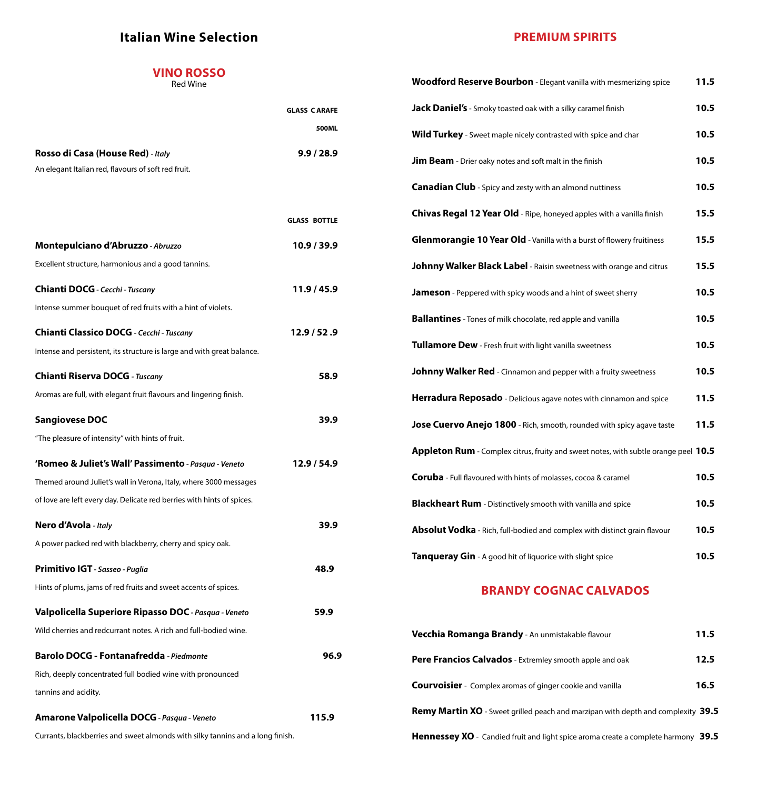## **Italian Wine Selection**

## **PREMIUM SPIRITS**

| <b>VINO ROSSO</b> |
|-------------------|
| Red Wine          |

|                                                                                | <b>GLASS CARAFE</b> |
|--------------------------------------------------------------------------------|---------------------|
|                                                                                | <b>500ML</b>        |
| Rosso di Casa (House Red) - Italy                                              | 9.9/28.9            |
| An elegant Italian red, flavours of soft red fruit.                            |                     |
|                                                                                |                     |
|                                                                                |                     |
|                                                                                | <b>GLASS BOTTLE</b> |
| Montepulciano d'Abruzzo - Abruzzo                                              | 10.9/39.9           |
| Excellent structure, harmonious and a good tannins.                            |                     |
| Chianti DOCG - Cecchi - Tuscany                                                | 11.9 / 45.9         |
| Intense summer bouquet of red fruits with a hint of violets.                   |                     |
| Chianti Classico DOCG - Cecchi - Tuscany                                       | 12.9/52.9           |
| Intense and persistent, its structure is large and with great balance.         |                     |
| <b>Chianti Riserva DOCG</b> - Tuscany                                          | 58.9                |
| Aromas are full, with elegant fruit flavours and lingering finish.             |                     |
|                                                                                |                     |
| <b>Sangiovese DOC</b>                                                          | 39.9                |
| "The pleasure of intensity" with hints of fruit.                               |                     |
| 'Romeo & Juliet's Wall' Passimento - Pasqua - Veneto                           | 12.9/54.9           |
| Themed around Juliet's wall in Verona, Italy, where 3000 messages              |                     |
| of love are left every day. Delicate red berries with hints of spices.         |                     |
| Nero d'Avola - Italy                                                           | 39.9                |
| A power packed red with blackberry, cherry and spicy oak.                      |                     |
| Primitivo IGT - Sasseo - Puglia                                                | 48.9                |
| Hints of plums, jams of red fruits and sweet accents of spices.                |                     |
| Valpolicella Superiore Ripasso DOC - Pasqua - Veneto                           | 59.9                |
| Wild cherries and redcurrant notes. A rich and full-bodied wine.               |                     |
| <b>Barolo DOCG - Fontanafredda - Piedmonte</b>                                 | 96.9                |
| Rich, deeply concentrated full bodied wine with pronounced                     |                     |
| tannins and acidity.                                                           |                     |
| Amarone Valpolicella DOCG - Pasqua - Veneto                                    | 115.9               |
| Currants, blackberries and sweet almonds with silky tannins and a long finish. |                     |

| Woodford Reserve Bourbon - Elegant vanilla with mesmerizing spice                   | 11.5 |
|-------------------------------------------------------------------------------------|------|
| Jack Daniel's - Smoky toasted oak with a silky caramel finish                       | 10.5 |
| Wild Turkey - Sweet maple nicely contrasted with spice and char                     | 10.5 |
| <b>Jim Beam</b> - Drier oaky notes and soft malt in the finish                      | 10.5 |
| <b>Canadian Club</b> - Spicy and zesty with an almond nuttiness                     | 10.5 |
| Chivas Regal 12 Year Old - Ripe, honeyed apples with a vanilla finish               | 15.5 |
| Glenmorangie 10 Year Old - Vanilla with a burst of flowery fruitiness               | 15.5 |
| Johnny Walker Black Label - Raisin sweetness with orange and citrus                 | 15.5 |
| Jameson - Peppered with spicy woods and a hint of sweet sherry                      | 10.5 |
| <b>Ballantines</b> - Tones of milk chocolate, red apple and vanilla                 | 10.5 |
| Tullamore Dew - Fresh fruit with light vanilla sweetness                            | 10.5 |
| Johnny Walker Red - Cinnamon and pepper with a fruity sweetness                     | 10.5 |
| Herradura Reposado - Delicious agave notes with cinnamon and spice                  | 11.5 |
| Jose Cuervo Anejo 1800 - Rich, smooth, rounded with spicy agave taste               | 11.5 |
| Appleton Rum - Complex citrus, fruity and sweet notes, with subtle orange peel 10.5 |      |
| <b>Coruba</b> - Full flavoured with hints of molasses, cocoa & caramel              | 10.5 |
| <b>Blackheart Rum</b> - Distinctively smooth with vanilla and spice                 | 10.5 |
| Absolut Vodka - Rich, full-bodied and complex with distinct grain flavour           | 10.5 |
| Tanqueray Gin - A good hit of liquorice with slight spice                           | 10.5 |

## **BRANDY COGNAC CALVADOS**

| Vecchia Romanga Brandy - An unmistakable flavour                                         | 11.5 |
|------------------------------------------------------------------------------------------|------|
| Pere Francios Calvados - Extremley smooth apple and oak                                  | 12.5 |
| <b>Courvoisier</b> - Complex aromas of ginger cookie and vanilla                         | 16.5 |
| <b>Remy Martin XO</b> - Sweet grilled peach and marzipan with depth and complexity 39.5  |      |
| <b>Hennessey XO</b> - Candied fruit and light spice aroma create a complete harmony 39.5 |      |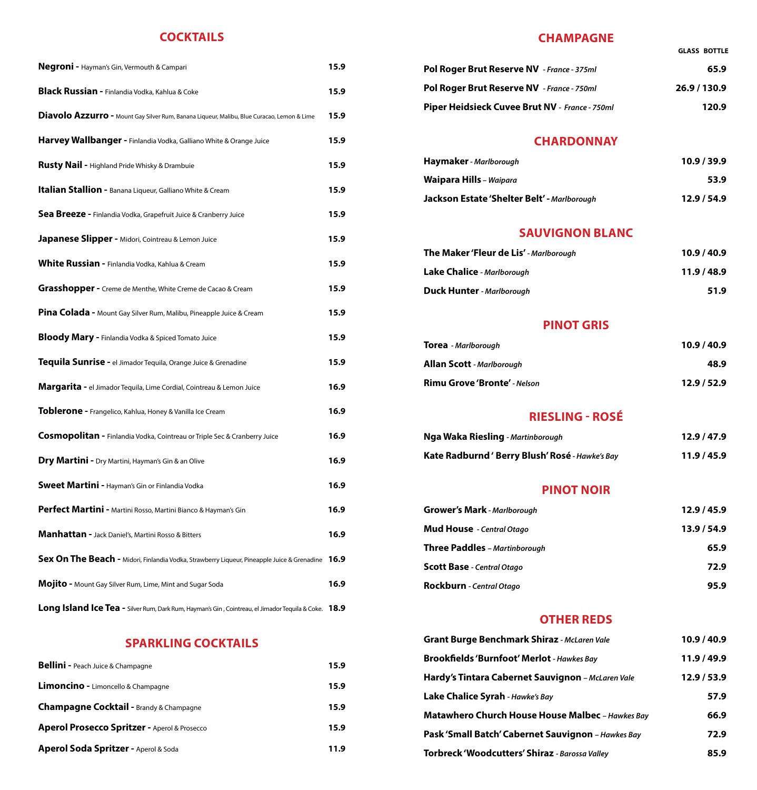### **COCKTAILS**

| Negroni - Hayman's Gin, Vermouth & Campari                                                           | 15.9 |
|------------------------------------------------------------------------------------------------------|------|
| Black Russian - Finlandia Vodka, Kahlua & Coke                                                       | 15.9 |
| Diavolo Azzurro - Mount Gay Silver Rum, Banana Liqueur, Malibu, Blue Curacao, Lemon & Lime           | 15.9 |
| Harvey Wallbanger - Finlandia Vodka, Galliano White & Orange Juice                                   | 15.9 |
| Rusty Nail - Highland Pride Whisky & Drambuie                                                        | 15.9 |
| Italian Stallion - Banana Liqueur, Galliano White & Cream                                            | 15.9 |
| Sea Breeze - Finlandia Vodka, Grapefruit Juice & Cranberry Juice                                     | 15.9 |
| Japanese Slipper - Midori, Cointreau & Lemon Juice                                                   | 15.9 |
| White Russian - Finlandia Vodka, Kahlua & Cream                                                      | 15.9 |
| Grasshopper - Creme de Menthe, White Creme de Cacao & Cream                                          | 15.9 |
| <b>Pina Colada -</b> Mount Gay Silver Rum, Malibu, Pineapple Juice & Cream                           | 15.9 |
| <b>Bloody Mary - Finlandia Vodka &amp; Spiced Tomato Juice</b>                                       | 15.9 |
| Tequila Sunrise - el Jimador Tequila, Orange Juice & Grenadine                                       | 15.9 |
| Margarita - el Jimador Tequila, Lime Cordial, Cointreau & Lemon Juice                                | 16.9 |
| Toblerone - Frangelico, Kahlua, Honey & Vanilla Ice Cream                                            | 16.9 |
| <b>Cosmopolitan</b> - Finlandia Vodka, Cointreau or Triple Sec & Cranberry Juice                     | 16.9 |
| Dry Martini - Dry Martini, Hayman's Gin & an Olive                                                   | 16.9 |
| <b>Sweet Martini - Hayman's Gin or Finlandia Vodka</b>                                               | 16.9 |
| Perfect Martini - Martini Rosso, Martini Bianco & Hayman's Gin                                       | 16.9 |
| Manhattan - Jack Daniel's, Martini Rosso & Bitters                                                   | 16.9 |
| Sex On The Beach - Midori, Finlandia Vodka, Strawberry Liqueur, Pineapple Juice & Grenadine          | 16.9 |
| Mojito - Mount Gay Silver Rum, Lime, Mint and Sugar Soda                                             | 16.9 |
| Long Island Ice Tea - Silver Rum, Dark Rum, Hayman's Gin, Cointreau, el Jimador Tequila & Coke. 18.9 |      |

## **SPARKLING COCKTAILS**

| <b>Bellini - Peach Juice &amp; Champagne</b>            | 15.9 |
|---------------------------------------------------------|------|
| Limoncino - Limoncello & Champagne                      | 15.9 |
| <b>Champagne Cocktail - Brandy &amp; Champagne</b>      | 15.9 |
| <b>Aperol Prosecco Spritzer - Aperol &amp; Prosecco</b> | 15.9 |
| <b>Aperol Soda Spritzer - Aperol &amp; Soda</b>         | 11.9 |

#### **CHAMPAGNE**

**GLASS BOTTLE**

| Pol Roger Brut Reserve NV - France - 375ml     | 65.9         |
|------------------------------------------------|--------------|
| Pol Roger Brut Reserve NV - France - 750ml     | 26.9 / 130.9 |
| Piper Heidsieck Cuvee Brut NV - France - 750ml | 120.9        |

#### **CHARDONNAY**

| Haymaker - Marlborough                      | 10.9/39.9 |  |
|---------------------------------------------|-----------|--|
| Waipara Hills – <i>Waipara</i>              | 53.9      |  |
| Jackson Estate 'Shelter Belt' - Marlborough | 12.9/54.9 |  |

## **SAUVIGNON BLANC**

| The Maker 'Fleur de Lis' - Marlborough | 10.9/40.9 |
|----------------------------------------|-----------|
| Lake Chalice - Marlborough             | 11.9/48.9 |
| Duck Hunter - Marlborough              | 51.9      |

### **PINOT GRIS**

| Torea - Marlborough                 | 10.9/40.9 |
|-------------------------------------|-----------|
| Allan Scott - Marlborough           | 48.9      |
| <b>Rimu Grove 'Bronte'</b> - Nelson | 12.9/52.9 |

## **RIESLING - ROSÉ**

| Nga Waka Riesling - Martinborough               | 12.9/47.9   |
|-------------------------------------------------|-------------|
| Kate Radburnd ' Berry Blush' Rosé - Hawke's Bay | 11.9 / 45.9 |

#### **PINOT NOIR**

| <b>Grower's Mark - Marlborough</b>   | 12.9/45.9 |
|--------------------------------------|-----------|
| <b>Mud House</b> - Central Otago     | 13.9/54.9 |
| <b>Three Paddles</b> - Martinborough | 65.9      |
| <b>Scott Base</b> - Central Otago    | 72.9      |
| Rockburn - Central Otago             | 95.9      |

#### **OTHER REDS**

| <b>Grant Burge Benchmark Shiraz - McLaren Vale</b>      | 10.9 / 40.9 |
|---------------------------------------------------------|-------------|
| <b>Brookfields 'Burnfoot' Merlot</b> - Hawkes Bay       | 11.9 / 49.9 |
| Hardy's Tintara Cabernet Sauvignon - McLaren Vale       | 12.9 / 53.9 |
| Lake Chalice Syrah - Hawke's Bay                        | 57.9        |
| <b>Matawhero Church House House Malbec</b> - Hawkes Bay | 66.9        |
| Pask 'Small Batch' Cabernet Sauvignon - Hawkes Bay      | 72.9        |
| Torbreck 'Woodcutters' Shiraz - Barossa Valley          | 85.9        |